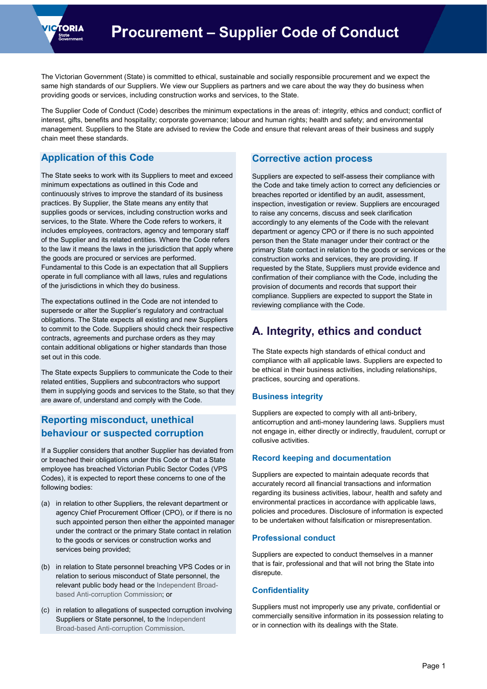

The Victorian Government (State) is committed to ethical, sustainable and socially responsible procurement and we expect the same high standards of our Suppliers. We view our Suppliers as partners and we care about the way they do business when providing goods or services, including construction works and services, to the State.

The Supplier Code of Conduct (Code) describes the minimum expectations in the areas of: integrity, ethics and conduct; conflict of interest, gifts, benefits and hospitality; corporate governance; labour and human rights; health and safety; and environmental management. Suppliers to the State are advised to review the Code and ensure that relevant areas of their business and supply chain meet these standards.

### **Application of this Code**

The State seeks to work with its Suppliers to meet and exceed minimum expectations as outlined in this Code and continuously strives to improve the standard of its business practices. By Supplier, the State means any entity that supplies goods or services, including construction works and services, to the State. Where the Code refers to workers, it includes employees, contractors, agency and temporary staff of the Supplier and its related entities. Where the Code refers to the law it means the laws in the jurisdiction that apply where the goods are procured or services are performed. Fundamental to this Code is an expectation that all Suppliers operate in full compliance with all laws, rules and regulations of the jurisdictions in which they do business.

The expectations outlined in the Code are not intended to supersede or alter the Supplier's regulatory and contractual obligations. The State expects all existing and new Suppliers to commit to the Code. Suppliers should check their respective contracts, agreements and purchase orders as they may contain additional obligations or higher standards than those set out in this code.

The State expects Suppliers to communicate the Code to their related entities, Suppliers and subcontractors who support them in supplying goods and services to the State, so that they are aware of, understand and comply with the Code.

### **Reporting misconduct, unethical behaviour or suspected corruption**

If a Supplier considers that another Supplier has deviated from or breached their obligations under this Code or that a State employee has breached Victorian Public Sector Codes (VPS Codes), it is expected to report these concerns to one of the following bodies:

- (a) in relation to other Suppliers, the relevant department or agency Chief Procurement Officer (CPO), or if there is no such appointed person then either the appointed manager under the contract or the primary State contact in relation to the goods or services or construction works and services being provided;
- (b) in relation to State personnel breaching VPS Codes or in relation to serious misconduct of State personnel, the relevant public body head or th[e Independent Broad](http://www.ibac.vic.gov.au/reporting-corruption)[based Anti-corruption Commission;](http://www.ibac.vic.gov.au/reporting-corruption) or
- (c) in relation to allegations of suspected corruption involving Suppliers or State personnel, to the [Independent](http://www.ibac.vic.gov.au/reporting-corruption)  [Broad-based Anti-corruption Commission.](http://www.ibac.vic.gov.au/reporting-corruption)

### **Corrective action process**

Suppliers are expected to self-assess their compliance with the Code and take timely action to correct any deficiencies or breaches reported or identified by an audit, assessment, inspection, investigation or review. Suppliers are encouraged to raise any concerns, discuss and seek clarification accordingly to any elements of the Code with the relevant department or agency CPO or if there is no such appointed person then the State manager under their contract or the primary State contact in relation to the goods or services or the construction works and services, they are providing. If requested by the State, Suppliers must provide evidence and confirmation of their compliance with the Code, including the provision of documents and records that support their compliance. Suppliers are expected to support the State in reviewing compliance with the Code.

## **A. Integrity, ethics and conduct**

The State expects high standards of ethical conduct and compliance with all applicable laws. Suppliers are expected to be ethical in their business activities, including relationships, practices, sourcing and operations.

#### **Business integrity**

Suppliers are expected to comply with all anti-bribery, anticorruption and anti-money laundering laws. Suppliers must not engage in, either directly or indirectly, fraudulent, corrupt or collusive activities.

#### **Record keeping and documentation**

Suppliers are expected to maintain adequate records that accurately record all financial transactions and information regarding its business activities, labour, health and safety and environmental practices in accordance with applicable laws, policies and procedures. Disclosure of information is expected to be undertaken without falsification or misrepresentation.

#### **Professional conduct**

Suppliers are expected to conduct themselves in a manner that is fair, professional and that will not bring the State into disrepute.

#### **Confidentiality**

Suppliers must not improperly use any private, confidential or commercially sensitive information in its possession relating to or in connection with its dealings with the State.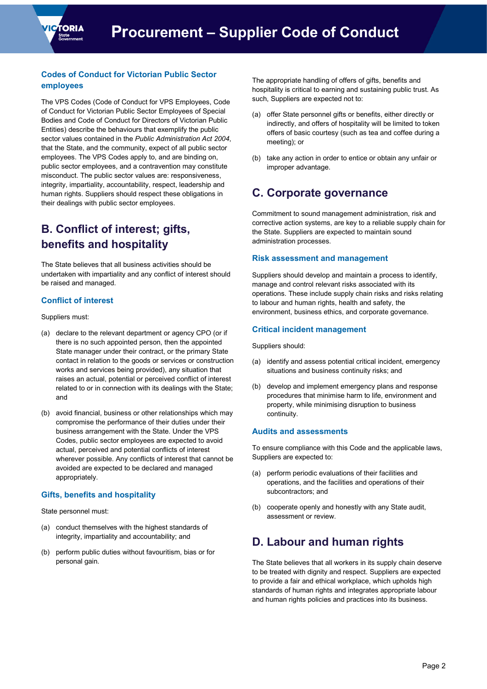

### **Codes of Conduct for Victorian Public Sector employees**

The VPS Codes (Code of Conduct for VPS Employees, Code of Conduct for Victorian Public Sector Employees of Special Bodies and Code of Conduct for Directors of Victorian Public Entities) describe the behaviours that exemplify the public sector values contained in the *Public Administration Act 2004*, that the State, and the community, expect of all public sector employees. The VPS Codes apply to, and are binding on, public sector employees, and a contravention may constitute misconduct. The public sector values are: responsiveness, integrity, impartiality, accountability, respect, leadership and human rights. Suppliers should respect these obligations in their dealings with public sector employees.

# **B. Conflict of interest; gifts, benefits and hospitality**

The State believes that all business activities should be undertaken with impartiality and any conflict of interest should be raised and managed.

### **Conflict of interest**

Suppliers must:

- (a) declare to the relevant department or agency CPO (or if there is no such appointed person, then the appointed State manager under their contract, or the primary State contact in relation to the goods or services or construction works and services being provided), any situation that raises an actual, potential or perceived conflict of interest related to or in connection with its dealings with the State; and
- (b) avoid financial, business or other relationships which may compromise the performance of their duties under their business arrangement with the State. Under the VPS Codes, public sector employees are expected to avoid actual, perceived and potential conflicts of interest wherever possible. Any conflicts of interest that cannot be avoided are expected to be declared and managed appropriately.

#### **Gifts, benefits and hospitality**

State personnel must:

- (a) conduct themselves with the highest standards of integrity, impartiality and accountability; and
- (b) perform public duties without favouritism, bias or for personal gain.

The appropriate handling of offers of gifts, benefits and hospitality is critical to earning and sustaining public trust. As such, Suppliers are expected not to:

- (a) offer State personnel gifts or benefits, either directly or indirectly, and offers of hospitality will be limited to token offers of basic courtesy (such as tea and coffee during a meeting); or
- (b) take any action in order to entice or obtain any unfair or improper advantage.

## **C. Corporate governance**

Commitment to sound management administration, risk and corrective action systems, are key to a reliable supply chain for the State. Suppliers are expected to maintain sound administration processes.

#### **Risk assessment and management**

Suppliers should develop and maintain a process to identify, manage and control relevant risks associated with its operations. These include supply chain risks and risks relating to labour and human rights, health and safety, the environment, business ethics, and corporate governance.

#### **Critical incident management**

Suppliers should:

- (a) identify and assess potential critical incident, emergency situations and business continuity risks; and
- (b) develop and implement emergency plans and response procedures that minimise harm to life, environment and property, while minimising disruption to business continuity.

#### **Audits and assessments**

To ensure compliance with this Code and the applicable laws, Suppliers are expected to:

- (a) perform periodic evaluations of their facilities and operations, and the facilities and operations of their subcontractors; and
- (b) cooperate openly and honestly with any State audit, assessment or review.

## **D. Labour and human rights**

The State believes that all workers in its supply chain deserve to be treated with dignity and respect. Suppliers are expected to provide a fair and ethical workplace, which upholds high standards of human rights and integrates appropriate labour and human rights policies and practices into its business.